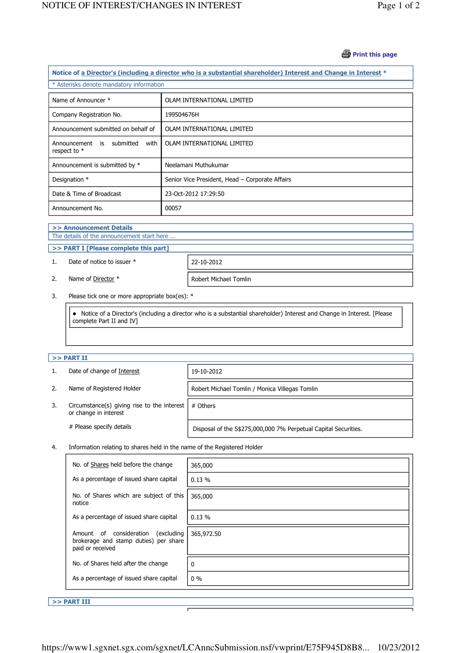## **B** Print this page

| Notice of a Director's (including a director who is a substantial shareholder) Interest and Change in Interest * |                                                 |  |  |  |
|------------------------------------------------------------------------------------------------------------------|-------------------------------------------------|--|--|--|
| * Asterisks denote mandatory information                                                                         |                                                 |  |  |  |
|                                                                                                                  |                                                 |  |  |  |
| Name of Announcer *                                                                                              | OLAM INTERNATIONAL LIMITED                      |  |  |  |
| Company Registration No.                                                                                         | 199504676H                                      |  |  |  |
| Announcement submitted on behalf of                                                                              | OLAM INTERNATIONAL LIMITED                      |  |  |  |
| Announcement is submitted<br>with<br>respect to $*$                                                              | OLAM INTERNATIONAL LIMITED                      |  |  |  |
| Announcement is submitted by *                                                                                   | Neelamani Muthukumar                            |  |  |  |
| Designation *                                                                                                    | Senior Vice President, Head - Corporate Affairs |  |  |  |
| Date & Time of Broadcast                                                                                         | 23-Oct-2012 17:29:50                            |  |  |  |
| Announcement No.                                                                                                 | 00057                                           |  |  |  |

### >> Announcement Details

j

J

The details of the announcement start here ...

# >> PART I [Please complete this part]

1. Date of notice to issuer \* 22-10-2012

2. Name of <u>Director</u> \* Robert Michael Tomlin

3. Please tick one or more appropriate box(es): \*

 Notice of a Director's (including a director who is a substantial shareholder) Interest and Change in Interest. [Please complete Part II and IV]

# $>>$  PART II

j

|                          | Date of change of Interest                                                   | 19-10-2012                                                      |  |
|--------------------------|------------------------------------------------------------------------------|-----------------------------------------------------------------|--|
| 2.                       | Name of Registered Holder                                                    | Robert Michael Tomlin / Monica Villegas Tomlin                  |  |
| 3.                       | Circumstance(s) giving rise to the interest $\vert$<br>or change in interest | # Others                                                        |  |
| # Please specify details |                                                                              | Disposal of the S\$275,000,000 7% Perpetual Capital Securities. |  |

## 4. Information relating to shares held in the name of the Registered Holder

| No. of Shares held before the change                                                               | 365,000    |
|----------------------------------------------------------------------------------------------------|------------|
| As a percentage of issued share capital                                                            | 0.13%      |
| No. of Shares which are subject of this<br>notice                                                  | 365,000    |
| As a percentage of issued share capital                                                            | $0.13 \%$  |
| Amount of consideration<br>(excluding<br>brokerage and stamp duties) per share<br>paid or received | 365,972.50 |
| No. of Shares held after the change                                                                | 0          |
| As a percentage of issued share capital                                                            | $0\%$      |

 $>>$  PART III